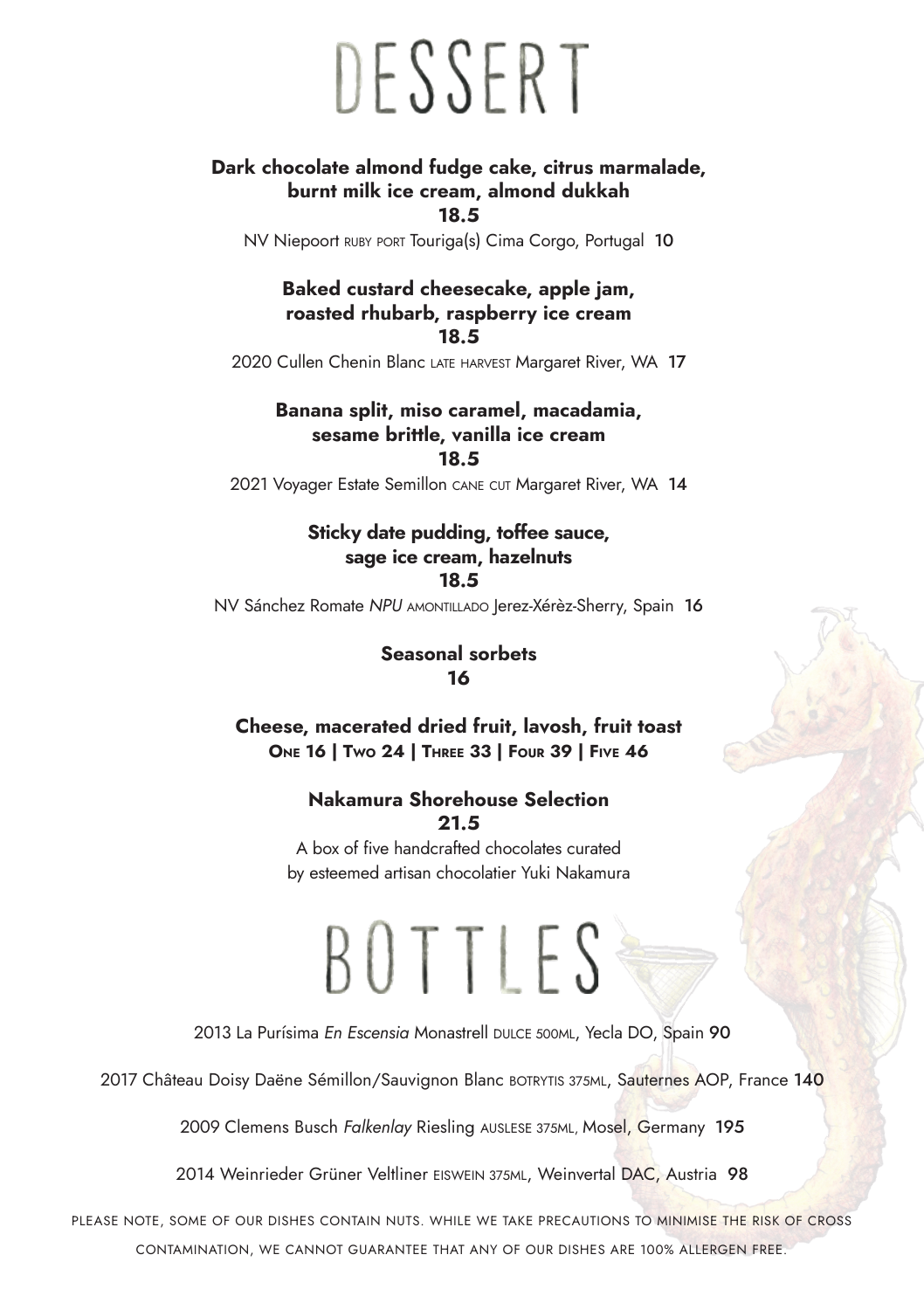# DESSERT

#### **Dark chocolate almond fudge cake, citrus marmalade, burnt milk ice cream, almond dukkah**

**18.5**

NV Niepoort RUBY PORT Touriga(s) Cima Corgo, Portugal 10

#### **Baked custard cheesecake, apple jam, roasted rhubarb, raspberry ice cream 18.5**

2020 Cullen Chenin Blanc LATE HARVEST Margaret River, WA 17

**Banana split, miso caramel, macadamia, sesame brittle, vanilla ice cream 18.5** 

2021 Voyager Estate Semillon CANE CUT Margaret River, WA 14

#### **Sticky date pudding, toffee sauce, sage ice cream, hazelnuts 18.5**

**NV Sánchez Romate** *NPU* AMONTILLADO Jerez-Xérèz-Sherry, Spain 16

#### **Seasonal sorbets 16**

**Cheese, macerated dried fruit, lavosh, fruit toast One 16 | Two 24 | Three 33 | Four 39 | Five 46**

#### **Nakamura Shorehouse Selection 21.5**

A box of five handcrafted chocolates curated by esteemed artisan chocolatier Yuki Nakamura

### BOTTLES

2013 La Purísima *En Escensia* Monastrell DULCE 500ML, Yecla DO, Spain 90

2017 Château Doisy Daëne Sémillon/Sauvignon Blanc BOTRYTIS 375ML, Sauternes AOP, France 140

2009 Clemens Busch *Falkenlay* Riesling AUSLESE 375ML, Mosel, Germany 195

2014 Weinrieder Grüner Veltliner EISWEIN 375ML, Weinvertal DAC, Austria 98

PLEASE NOTE, SOME OF OUR DISHES CONTAIN NUTS. WHILE WE TAKE PRECAUTIONS TO MINIMISE THE RISK OF CROSS CONTAMINATION, WE CANNOT GUARANTEE THAT ANY OF OUR DISHES ARE 100% ALLERGEN FREE.